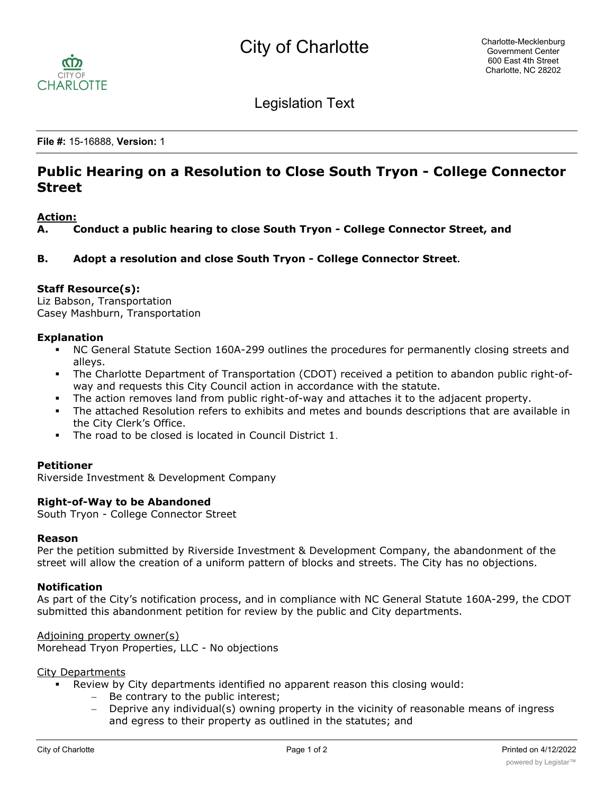

Legislation Text

**File #:** 15-16888, **Version:** 1

# **Public Hearing on a Resolution to Close South Tryon - College Connector Street**

## **Action:**

**A. Conduct a public hearing to close South Tryon - College Connector Street, and**

**B. Adopt a resolution and close South Tryon - College Connector Street.**

## **Staff Resource(s):**

Liz Babson, Transportation Casey Mashburn, Transportation

## **Explanation**

- § NC General Statute Section 160A-299 outlines the procedures for permanently closing streets and alleys.
- The Charlotte Department of Transportation (CDOT) received a petition to abandon public right-ofway and requests this City Council action in accordance with the statute.
- § The action removes land from public right-of-way and attaches it to the adjacent property.
- The attached Resolution refers to exhibits and metes and bounds descriptions that are available in the City Clerk's Office.
- The road to be closed is located in Council District 1.

#### **Petitioner**

Riverside Investment & Development Company

#### **Right-of-Way to be Abandoned**

South Tryon - College Connector Street

#### **Reason**

Per the petition submitted by Riverside Investment & Development Company, the abandonment of the street will allow the creation of a uniform pattern of blocks and streets. The City has no objections.

#### **Notification**

As part of the City's notification process, and in compliance with NC General Statute 160A-299, the CDOT submitted this abandonment petition for review by the public and City departments.

Adjoining property owner(s)

Morehead Tryon Properties, LLC - No objections

#### City Departments

- Review by City departments identified no apparent reason this closing would:
	- Be contrary to the public interest;
	- Deprive any individual(s) owning property in the vicinity of reasonable means of ingress and egress to their property as outlined in the statutes; and